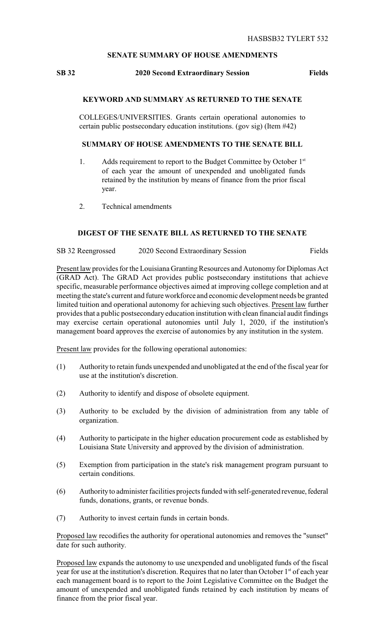#### **SENATE SUMMARY OF HOUSE AMENDMENTS**

# **SB 32 2020 Second Extraordinary Session Fields**

## **KEYWORD AND SUMMARY AS RETURNED TO THE SENATE**

COLLEGES/UNIVERSITIES. Grants certain operational autonomies to certain public postsecondary education institutions. (gov sig) (Item #42)

## **SUMMARY OF HOUSE AMENDMENTS TO THE SENATE BILL**

- 1. Adds requirement to report to the Budget Committee by October  $1<sup>st</sup>$ of each year the amount of unexpended and unobligated funds retained by the institution by means of finance from the prior fiscal year.
- 2. Technical amendments

#### **DIGEST OF THE SENATE BILL AS RETURNED TO THE SENATE**

SB 32 Reengrossed 2020 Second Extraordinary Session Fields

Present law provides for the Louisiana Granting Resources and Autonomy for Diplomas Act (GRAD Act). The GRAD Act provides public postsecondary institutions that achieve specific, measurable performance objectives aimed at improving college completion and at meeting the state's current and future workforce and economic development needs be granted limited tuition and operational autonomy for achieving such objectives. Present law further provides that a public postsecondary education institution with clean financial audit findings may exercise certain operational autonomies until July 1, 2020, if the institution's management board approves the exercise of autonomies by any institution in the system.

Present law provides for the following operational autonomies:

- (1) Authority to retain funds unexpended and unobligated at the end of the fiscal year for use at the institution's discretion.
- (2) Authority to identify and dispose of obsolete equipment.
- (3) Authority to be excluded by the division of administration from any table of organization.
- (4) Authority to participate in the higher education procurement code as established by Louisiana State University and approved by the division of administration.
- (5) Exemption from participation in the state's risk management program pursuant to certain conditions.
- (6) Authorityto administer facilities projects funded with self-generated revenue,federal funds, donations, grants, or revenue bonds.
- (7) Authority to invest certain funds in certain bonds.

Proposed law recodifies the authority for operational autonomies and removes the "sunset" date for such authority.

Proposed law expands the autonomy to use unexpended and unobligated funds of the fiscal year for use at the institution's discretion. Requires that no later than October 1<sup>st</sup> of each year each management board is to report to the Joint Legislative Committee on the Budget the amount of unexpended and unobligated funds retained by each institution by means of finance from the prior fiscal year.